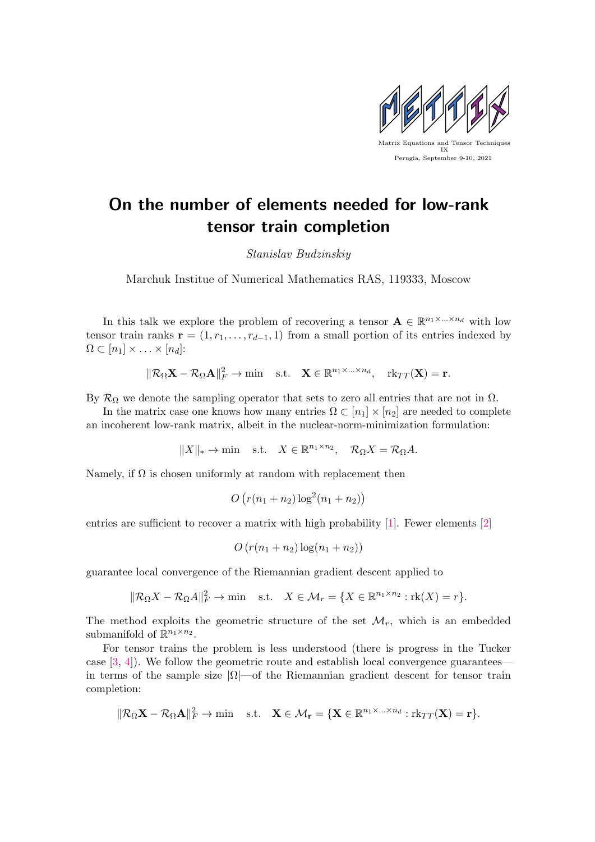

## On the number of elements needed for low-rank tensor train completion

Stanislav Budzinskiy

Marchuk Institue of Numerical Mathematics RAS, 119333, Moscow

In this talk we explore the problem of recovering a tensor  $\mathbf{A} \in \mathbb{R}^{n_1 \times \ldots \times n_d}$  with low tensor train ranks  $\mathbf{r} = (1, r_1, \ldots, r_{d-1}, 1)$  from a small portion of its entries indexed by  $\Omega \subset [n_1] \times \ldots \times [n_d]$ :

$$
\|\mathcal{R}_{\Omega}\mathbf{X}-\mathcal{R}_{\Omega}\mathbf{A}\|_{F}^{2}\to\min\quad\text{s.t.}\quad\mathbf{X}\in\mathbb{R}^{n_{1}\times\ldots\times n_{d}},\quad\mathrm{rk}_{TT}(\mathbf{X})=\mathbf{r}.
$$

By  $\mathcal{R}_{\Omega}$  we denote the sampling operator that sets to zero all entries that are not in  $\Omega$ .

In the matrix case one knows how many entries  $\Omega \subset [n_1] \times [n_2]$  are needed to complete an incoherent low-rank matrix, albeit in the nuclear-norm-minimization formulation:

 $||X||_* \to \min$  s.t.  $X \in \mathbb{R}^{n_1 \times n_2}$ ,  $\mathcal{R}_{\Omega}X = \mathcal{R}_{\Omega}A$ .

Namely, if  $\Omega$  is chosen uniformly at random with replacement then

$$
O(r(n_1 + n_2) \log^2(n_1 + n_2))
$$

entries are sufficient to recover a matrix with high probability [\[1\]](#page-1-0). Fewer elements [\[2\]](#page-1-1)

$$
O\left(r(n_1+n_2)\log(n_1+n_2)\right)
$$

guarantee local convergence of the Riemannian gradient descent applied to

$$
\|\mathcal{R}_{\Omega}X - \mathcal{R}_{\Omega}A\|_F^2 \to \min \quad \text{s.t.} \quad X \in \mathcal{M}_r = \{X \in \mathbb{R}^{n_1 \times n_2} : \text{rk}(X) = r\}.
$$

The method exploits the geometric structure of the set  $\mathcal{M}_r$ , which is an embedded submanifold of  $\mathbb{R}^{n_1 \times n_2}$ .

For tensor trains the problem is less understood (there is progress in the Tucker case  $[3, 4]$  $[3, 4]$  $[3, 4]$ ). We follow the geometric route and establish local convergence guarantees in terms of the sample size  $|\Omega|$ —of the Riemannian gradient descent for tensor train completion:

$$
\|\mathcal{R}_{\Omega}\mathbf{X}-\mathcal{R}_{\Omega}\mathbf{A}\|_{F}^{2}\to\min\quad\text{s.t.}\quad\mathbf{X}\in\mathcal{M}_{\mathbf{r}}=\{\mathbf{X}\in\mathbb{R}^{n_{1}\times\ldots\times n_{d}}:\mathrm{rk}_{TT}(\mathbf{X})=\mathbf{r}\}.
$$